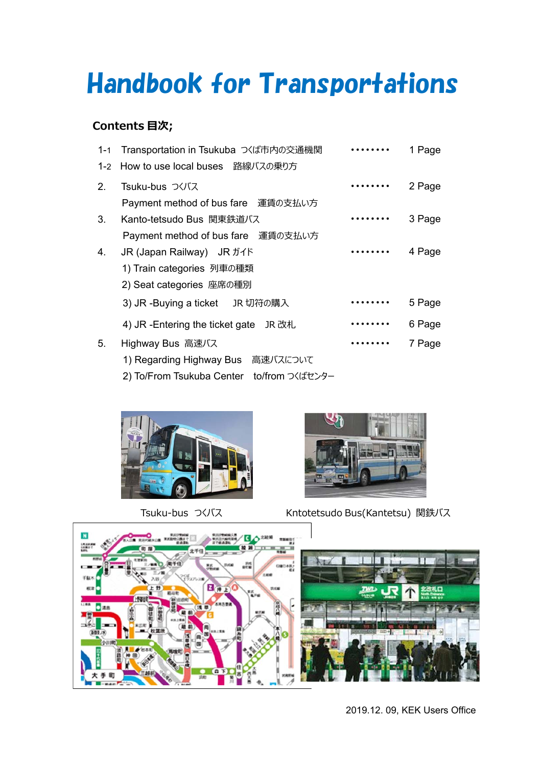# Handbook for Transportations

### **Contents ⽬次;**

| $1 - 1$ | Transportation in Tsukuba つくば市内の交通機関      |   | 1 Page |
|---------|-------------------------------------------|---|--------|
| $1 - 2$ | How to use local buses 路線バスの乗り方           |   |        |
| 2.      | Tsuku-bus つくバス                            |   | 2 Page |
|         | Payment method of bus fare<br>運賃の支払い方     |   |        |
| 3.      | Kanto-tetsudo Bus 関東鉄道バス                  |   | 3 Page |
|         | Payment method of bus fare 運賃の支払い方        |   |        |
| 4.      | JR (Japan Railway) JR ガイド                 |   | 4 Page |
|         | 1) Train categories 列車の種類                 |   |        |
|         | 2) Seat categories 座席の種別                  |   |        |
|         | 3) JR -Buying a ticket JR 切符の購入           |   | 5 Page |
|         | 4) JR -Entering the ticket gate<br>JR 改札  | . | 6 Page |
| 5.      | Highway Bus 高速バス                          |   | 7 Page |
|         | 1) Regarding Highway Bus 高速バスについて         |   |        |
|         | 2) To/From Tsukuba Center to/from つくばセンター |   |        |





Tsuku-bus つくバス Kntotetsudo Bus(Kantetsu) 関鉄バス



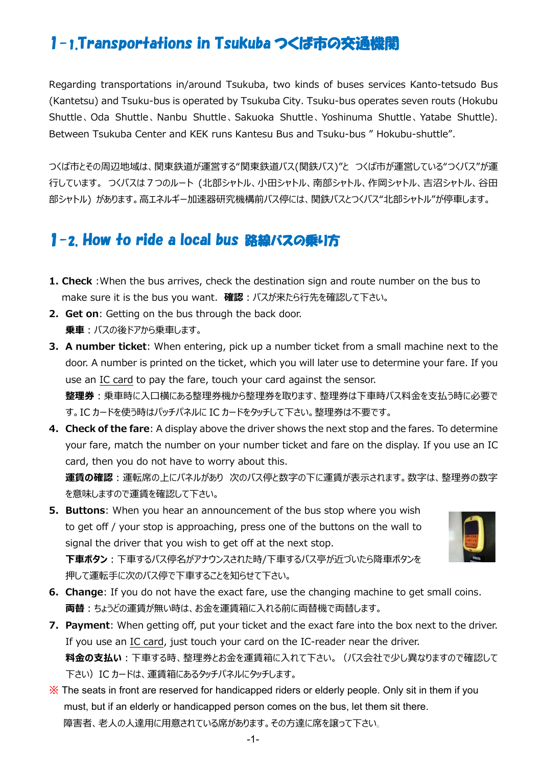# 1-1.Transportations in Tsukuba つくば市の交通機関

Regarding transportations in/around Tsukuba, two kinds of buses services Kanto-tetsudo Bus (Kantetsu) and Tsuku-bus is operated by Tsukuba City. Tsuku-bus operates seven routs (Hokubu Shuttle、Oda Shuttle、 Nanbu Shuttle、Sakuoka Shuttle、Yoshinuma Shuttle、Yatabe Shuttle). Between Tsukuba Center and KEK runs Kantesu Bus and Tsuku-bus " Hokubu-shuttle".

つくば市とその周辺地域は、関東鉄道が運営する"関東鉄道バス(関鉄バス)"と つくば市が運営している"つくバス"が運 行しています。 つくバスは7つのルート (北部シャトル、小田シャトル、南部シャトル、作岡シャトル、吉沼シャトル、谷田 部シャトル) があります。高エネルギー加速器研究機構前バス停には、関鉄バスとつくバス"北部シャトル"が停車します。

### 1-2. How to ride a local bus 路線バスの乗り方

- **1. Check** :When the bus arrives, check the destination sign and route number on the bus to make sure it is the bus you want. 確認: バスが来たら行先を確認して下さい。
- **2. Get on**: Getting on the bus through the back door. **乗車**: バスの後ドアから乗車します。
- **3. A number ticket**: When entering, pick up a number ticket from a small machine next to the door. A number is printed on the ticket, which you will later use to determine your fare. If you use an IC card to pay the fare, touch your card against the sensor. **整理券**:乗車時に入口横にある整理券機から整理券を取ります、整理券は下車時バス料金を支払う時に必要で す。IC カードを使う時はパッチパネルに IC カードをタッチして下さい。整理券は不要です。
- **4. Check of the fare**: A display above the driver shows the next stop and the fares. To determine your fare, match the number on your number ticket and fare on the display. If you use an IC card, then you do not have to worry about this.

**運賃の確認**︓運転席の上にパネルがあり 次のバス停と数字の下に運賃が表⽰されます。数字は、整理券の数字 を意味しますので運賃を確認して下さい。

- **5. Buttons**: When you hear an announcement of the bus stop where you wish to get off / your stop is approaching, press one of the buttons on the wall to signal the driver that you wish to get off at the next stop. **下車ボタン**:下車するバス停名がアナウンスされた時/下車するバス亭が近づいたら降車ボタンを 押して運転手に次のバス停で下車することを知らせて下さい。
- **6. Change**: If you do not have the exact fare, use the changing machine to get small coins. **両替**︓ちょうどの運賃が無い時は、お⾦を運賃箱に⼊れる前に両替機で両替します。
- **7. Payment**: When getting off, put your ticket and the exact fare into the box next to the driver. If you use an IC card, just touch your card on the IC-reader near the driver. 料金の支払い:下車する時、整理券とお金を運賃箱に入れて下さい。(バス会社で少し異なりますので確認して 下さい)IC カードは、運賃箱にあるタッチパネルにタッチします。

※ The seats in front are reserved for handicapped riders or elderly people. Only sit in them if you must, but if an elderly or handicapped person comes on the bus, let them sit there. 障害者、老人の人達用に用意されている席があります。その方達に席を譲って下さい。

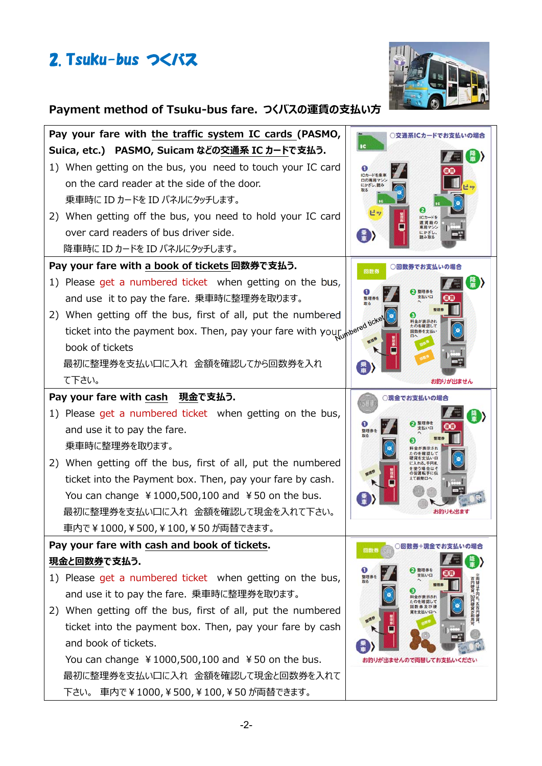



# Payment method of Tsuku-bus fare. つくバスの運賃の支払い方

| Pay your fare with the traffic system IC cards (PASMO,                   | ○交通系ICカードでお支払いの場合<br>1C |  |  |  |
|--------------------------------------------------------------------------|-------------------------|--|--|--|
| Suica, etc.) PASMO, Suicam などの交通系 IC カードで支払う.                            |                         |  |  |  |
| 1) When getting on the bus, you need to touch your IC card               | ICカード                   |  |  |  |
| on the card reader at the side of the door.                              | 口の専用マ<br>にかざし、読み        |  |  |  |
| 乗車時に ID カードを ID パネルにタッチします。                                              |                         |  |  |  |
| 2) When getting off the bus, you need to hold your IC card               | ICカード                   |  |  |  |
| over card readers of bus driver side.                                    | 専用マシン<br>にかざし           |  |  |  |
| 降車時に ID カードを ID パネルにタッチします。                                              |                         |  |  |  |
| Pay your fare with a book of tickets 回数券で支払う.<br>○回数券でお支払いの場合<br>回数券     |                         |  |  |  |
| 1) Please get a numbered ticket when getting on the bus,                 |                         |  |  |  |
| and use it to pay the fare. 乗車時に整理券を取ります。                                | 支払い口<br>整理              |  |  |  |
| 2) When getting off the bus, first of all, put the numbered              |                         |  |  |  |
| ticket into the payment box. Then, pay your fare with your wered noted   | たのを確認して                 |  |  |  |
| book of tickets                                                          |                         |  |  |  |
| 最初に整理券を支払い口に入れ 金額を確認してから回数券を入れ                                           |                         |  |  |  |
| て下さい。                                                                    | お釣りが出ません                |  |  |  |
| Pay your fare with cash 現金で支払う.                                          | ○現金でお支払いの場合             |  |  |  |
| 1) Please get a numbered ticket when getting on the bus,                 |                         |  |  |  |
| and use it to pay the fare.                                              | 支払い口<br>整理者             |  |  |  |
| 乗車時に整理券を取ります。                                                            |                         |  |  |  |
| 2) When getting off the bus, first of all, put the numbered              |                         |  |  |  |
| ticket into the Payment box. Then, pay your fare by cash.                |                         |  |  |  |
| You can change $\frac{1}{2}1000,500,100$ and $\frac{1}{2}50$ on the bus. |                         |  |  |  |
| 最初に整理券を支払い口に入れ 金額を確認して現金を入れて下さい。                                         |                         |  |  |  |
| 車内で¥1000,¥500,¥100,¥50が両替できます。                                           |                         |  |  |  |
| Pay your fare with cash and book of tickets.                             | ○回数券+現金でお支払いの場合<br>回数券  |  |  |  |
| 現金と回数券で支払う.                                                              | 2 整理券を                  |  |  |  |
| 1) Please get a numbered ticket when getting on the bus,                 | 支払い口<br>整理券<br>取る       |  |  |  |
| and use it to pay the fare. 乗車時に整理券を取ります。                                | 料金が表示され<br>たのを確認して      |  |  |  |
| When getting off the bus, first of all, put the numbered<br>2)           | 株 及び得<br>資を支払いロイ        |  |  |  |
| ticket into the payment box. Then, pay your fare by cash                 |                         |  |  |  |
| and book of tickets.                                                     |                         |  |  |  |
| You can change $\frac{1}{2}1000,500,100$ and $\frac{1}{2}50$ on the bus. | お釣りが出ませんので両替してお支払いください  |  |  |  |
| 最初に整理券を支払い口に入れ 金額を確認して現金と回数券を入れて                                         |                         |  |  |  |
| 下さい。 車内で¥1000,¥500,¥100,¥50 が両替できます。                                     |                         |  |  |  |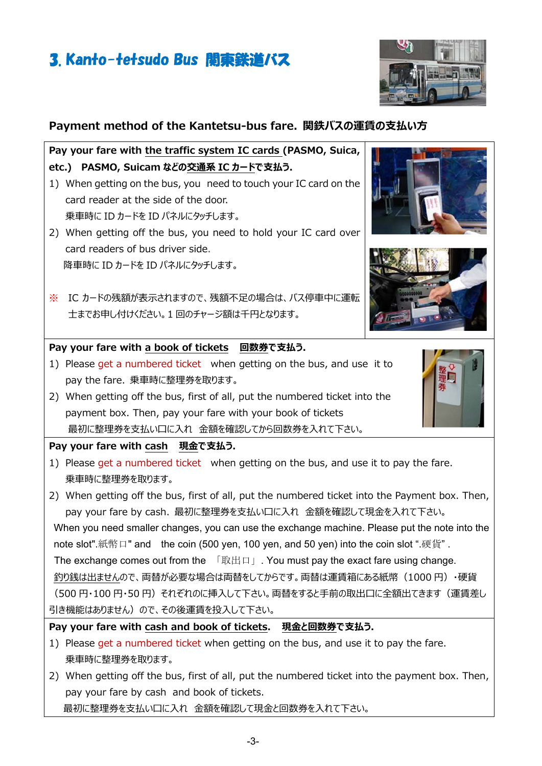# 3. Kanto-tetsudo Bus 関東鉄道バス

#### **Payment method of the Kantetsu-bus fare. 関鉄バスの運賃の支払い方**

**Pay your fare with the traffic system IC cards (PASMO, Suica,**  etc.) PASMO, Suicam などの交通系 IC カードで支払う.

- 1) When getting on the bus, you need to touch your IC card on the card reader at the side of the door. 乗車時に ID カードを ID パネルにタッチします。
- 2) When getting off the bus, you need to hold your IC card over card readers of bus driver side. 降車時に ID カードを ID パネルにタッチします。
- ※ IC カードの残額が表示されますので、残額不足の場合は、バス停車中に運転 ⼠までお申し付けください。1 回のチャージ額は千円となります。

#### **Pay your fare with a book of tickets 回数券で支払う.**

- 1) Please get a numbered ticket when getting on the bus, and use it to pay the fare. 乗車時に整理券を取ります。
- 2) When getting off the bus, first of all, put the numbered ticket into the payment box. Then, pay your fare with your book of tickets 最初に整理券を支払い口に入れ 金額を確認してから回数券を入れて下さい。

#### **Pay your fare with cash 現金で支払う.**

1) Please get a numbered ticket when getting on the bus, and use it to pay the fare. 乗車時に整理券を取ります。

2) When getting off the bus, first of all, put the numbered ticket into the Payment box. Then, pay your fare by cash. 最初に整理券を支払い口に入れ 金額を確認して現金を入れて下さい。 When you need smaller changes, you can use the exchange machine. Please put the note into the note slot".紙幣口" and the coin (500 yen, 100 yen, and 50 yen) into the coin slot ".硬貨". The exchange comes out from the 「取出口」. You must pay the exact fare using change. 釣り銭は出ませんので、両替が必要な場合は両替をしてからです。両替は運賃箱にある紙幣(1000 円)・硬貨 (500円・100円・50円) それぞれのに挿入して下さい。両替をすると手前の取出口に全額出てきます(運賃差し 引き機能はありません)ので、その後運賃を投入して下さい。

**Pay your fare with cash and book of tickets. 現金と回数券で支払う.** 

- 1) Please get a numbered ticket when getting on the bus, and use it to pay the fare. 乗車時に整理券を取ります。
- 2) When getting off the bus, first of all, put the numbered ticket into the payment box. Then, pay your fare by cash and book of tickets. 最初に整理券を支払い口に入れ 金額を確認して現金と回数券を入れて下さい。







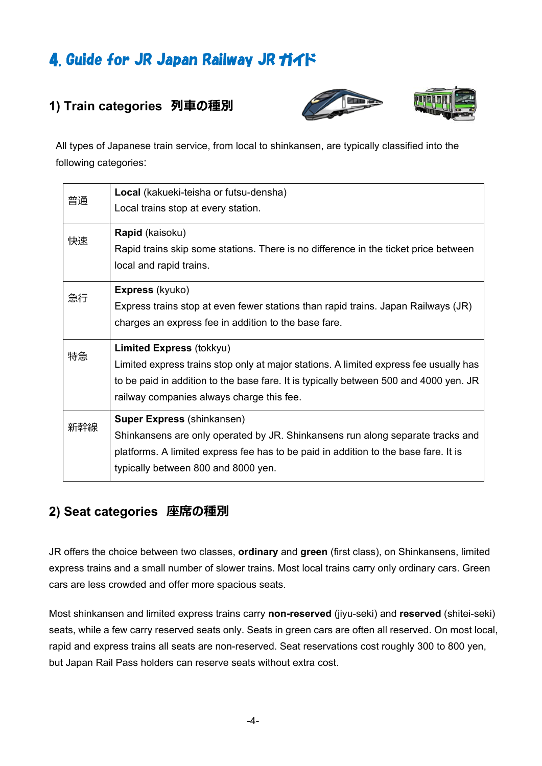# 4. Guide for JR Japan Railway JR ガイド

### **1) Train categories 列⾞の種別**





All types of Japanese train service, from local to shinkansen, are typically classified into the following categories:

| 普通  | Local (kakueki-teisha or futsu-densha)                                                |  |  |
|-----|---------------------------------------------------------------------------------------|--|--|
|     | Local trains stop at every station.                                                   |  |  |
| 快速  | <b>Rapid</b> (kaisoku)                                                                |  |  |
|     | Rapid trains skip some stations. There is no difference in the ticket price between   |  |  |
|     | local and rapid trains.                                                               |  |  |
| 急行  | <b>Express</b> (kyuko)                                                                |  |  |
|     | Express trains stop at even fewer stations than rapid trains. Japan Railways (JR)     |  |  |
|     | charges an express fee in addition to the base fare.                                  |  |  |
| 特急  | <b>Limited Express (tokkyu)</b>                                                       |  |  |
|     | Limited express trains stop only at major stations. A limited express fee usually has |  |  |
|     | to be paid in addition to the base fare. It is typically between 500 and 4000 yen. JR |  |  |
|     | railway companies always charge this fee.                                             |  |  |
|     | <b>Super Express (shinkansen)</b>                                                     |  |  |
| 新幹線 | Shinkansens are only operated by JR. Shinkansens run along separate tracks and        |  |  |
|     | platforms. A limited express fee has to be paid in addition to the base fare. It is   |  |  |
|     | typically between 800 and 8000 yen.                                                   |  |  |

#### **2) Seat categories 座席の種別**

JR offers the choice between two classes, **ordinary** and **green** (first class), on Shinkansens, limited express trains and a small number of slower trains. Most local trains carry only ordinary cars. Green cars are less crowded and offer more spacious seats.

Most shinkansen and limited express trains carry **non-reserved** (jiyu-seki) and **reserved** (shitei-seki) seats, while a few carry reserved seats only. Seats in green cars are often all reserved. On most local, rapid and express trains all seats are non-reserved. Seat reservations cost roughly 300 to 800 yen, but Japan Rail Pass holders can reserve seats without extra cost.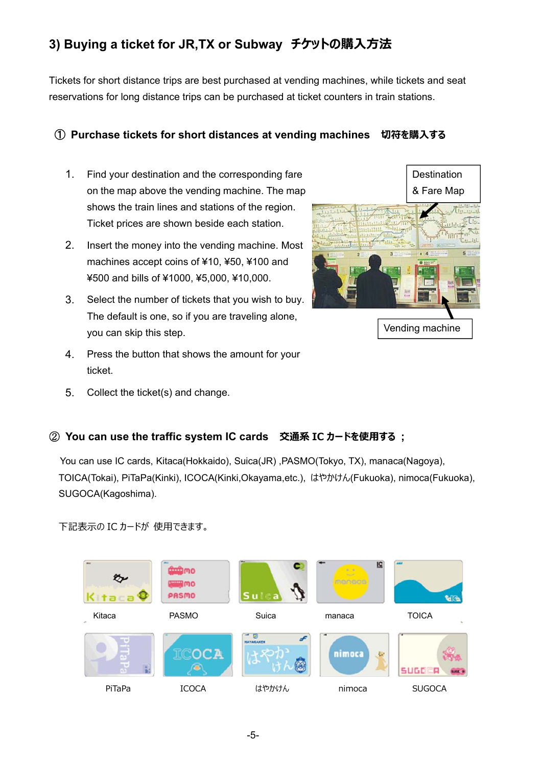### **3) Buying a ticket for JR,TX or Subway チケットの購⼊⽅法**

Tickets for short distance trips are best purchased at vending machines, while tickets and seat reservations for long distance trips can be purchased at ticket counters in train stations.

#### ① **Purchase tickets for short distances at vending machines 切符を購⼊する**

- 1. Find your destination and the corresponding fare on the map above the vending machine. The map shows the train lines and stations of the region. Ticket prices are shown beside each station.
- 2. Insert the money into the vending machine. Most machines accept coins of ¥10, ¥50, ¥100 and ¥500 and bills of ¥1000, ¥5,000, ¥10,000.
- 3. Select the number of tickets that you wish to buy. The default is one, so if you are traveling alone, you can skip this step.
- 4. Press the button that shows the amount for your ticket.
- 5. Collect the ticket(s) and change.



#### ② **You can use the traffic system IC cards 交通系 IC カードを使⽤する ;**

You can use IC cards, Kitaca(Hokkaido), Suica(JR) ,PASMO(Tokyo, TX), manaca(Nagoya), TOICA(Tokai), PiTaPa(Kinki), ICOCA(Kinki,Okayama,etc.), はやかけん(Fukuoka), nimoca(Fukuoka), SUGOCA(Kagoshima).

下記表示の IC カードが 使用できます。

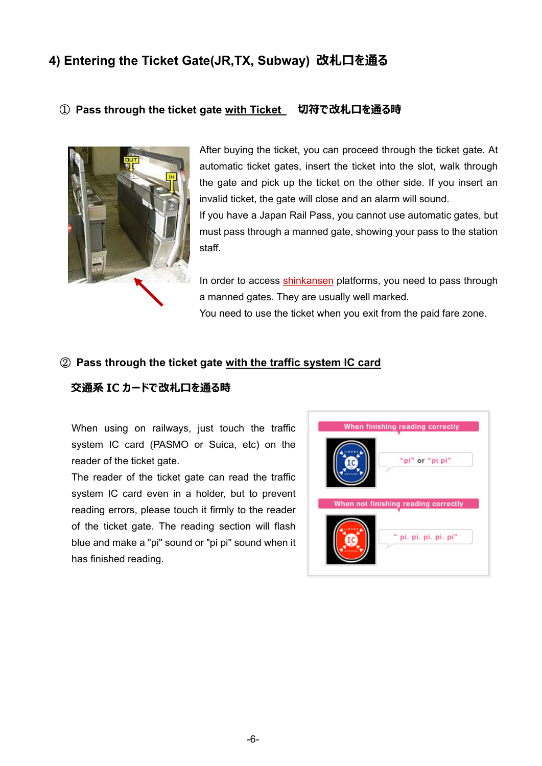### **4) Entering the Ticket Gate(JR,TX, Subway) 改札⼝を通る**

#### ① **Pass through the ticket gate with Ticket 切符で改札⼝を通る時**



After buying the ticket, you can proceed through the ticket gate. At automatic ticket gates, insert the ticket into the slot, walk through the gate and pick up the ticket on the other side. If you insert an invalid ticket, the gate will close and an alarm will sound. If you have a Japan Rail Pass, you cannot use automatic gates, but must pass through a manned gate, showing your pass to the station staff.

In order to access shinkansen platforms, you need to pass through a manned gates. They are usually well marked. You need to use the ticket when you exit from the paid fare zone.

#### ② **Pass through the ticket gate with the traffic system IC card**

#### **交通系 IC カードで改札⼝を通る時**

When using on railways, just touch the traffic system IC card (PASMO or Suica, etc) on the reader of the ticket gate.

The reader of the ticket gate can read the traffic system IC card even in a holder, but to prevent reading errors, please touch it firmly to the reader of the ticket gate. The reading section will flash blue and make a "pi" sound or "pi pi" sound when it has finished reading.